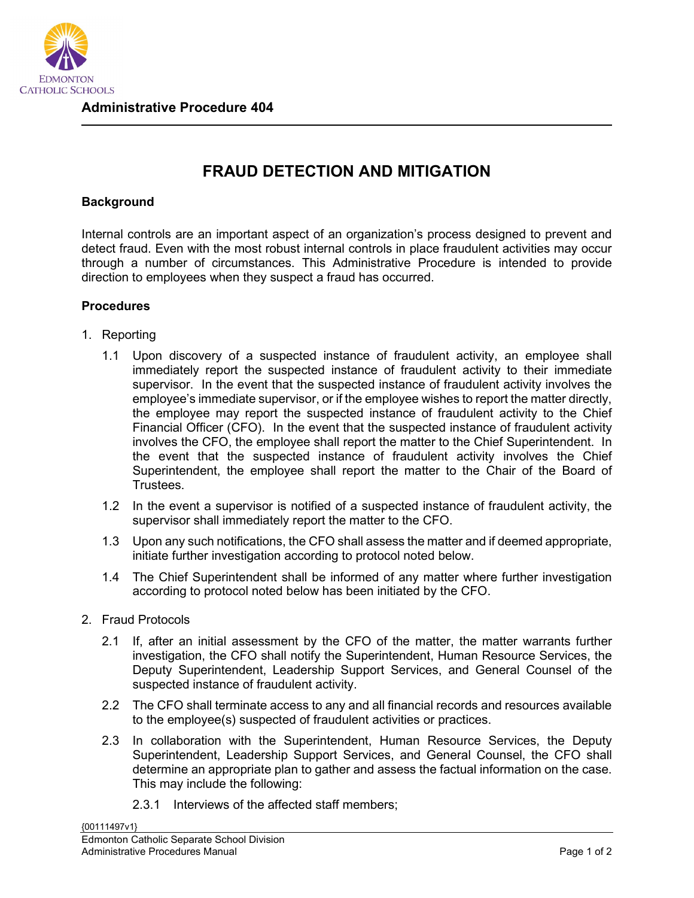

## **FRAUD DETECTION AND MITIGATION**

## **Background**

Internal controls are an important aspect of an organization's process designed to prevent and detect fraud. Even with the most robust internal controls in place fraudulent activities may occur through a number of circumstances. This Administrative Procedure is intended to provide direction to employees when they suspect a fraud has occurred.

## **Procedures**

- 1. Reporting
	- 1.1 Upon discovery of a suspected instance of fraudulent activity, an employee shall immediately report the suspected instance of fraudulent activity to their immediate supervisor. In the event that the suspected instance of fraudulent activity involves the employee's immediate supervisor, or if the employee wishes to report the matter directly, the employee may report the suspected instance of fraudulent activity to the Chief Financial Officer (CFO). In the event that the suspected instance of fraudulent activity involves the CFO, the employee shall report the matter to the Chief Superintendent. In the event that the suspected instance of fraudulent activity involves the Chief Superintendent, the employee shall report the matter to the Chair of the Board of Trustees.
	- 1.2 In the event a supervisor is notified of a suspected instance of fraudulent activity, the supervisor shall immediately report the matter to the CFO.
	- 1.3 Upon any such notifications, the CFO shall assess the matter and if deemed appropriate, initiate further investigation according to protocol noted below.
	- 1.4 The Chief Superintendent shall be informed of any matter where further investigation according to protocol noted below has been initiated by the CFO.
- 2. Fraud Protocols
	- 2.1 If, after an initial assessment by the CFO of the matter, the matter warrants further investigation, the CFO shall notify the Superintendent, Human Resource Services, the Deputy Superintendent, Leadership Support Services, and General Counsel of the suspected instance of fraudulent activity.
	- 2.2 The CFO shall terminate access to any and all financial records and resources available to the employee(s) suspected of fraudulent activities or practices.
	- 2.3 In collaboration with the Superintendent, Human Resource Services, the Deputy Superintendent, Leadership Support Services, and General Counsel, the CFO shall determine an appropriate plan to gather and assess the factual information on the case. This may include the following:
		- 2.3.1 Interviews of the affected staff members;